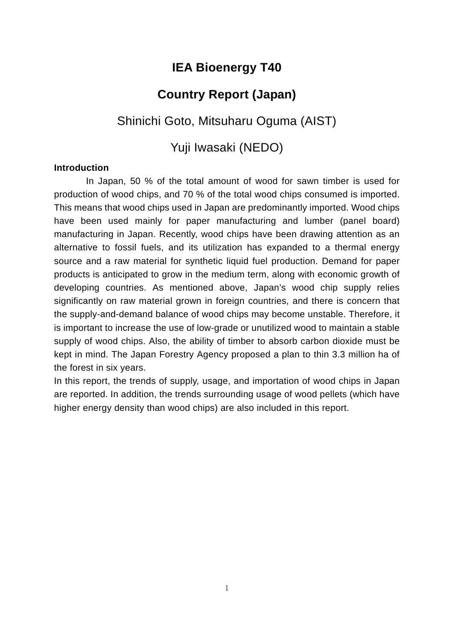## **IEA Bioenergy T40**

# **Country Report (Japan)**

### Shinichi Goto, Mitsuharu Oguma (AIST)

### Yuji Iwasaki (NEDO)

#### **Introduction**

 In Japan, 50 % of the total amount of wood for sawn timber is used for production of wood chips, and 70 % of the total wood chips consumed is imported. This means that wood chips used in Japan are predominantly imported. Wood chips have been used mainly for paper manufacturing and lumber (panel board) manufacturing in Japan. Recently, wood chips have been drawing attention as an alternative to fossil fuels, and its utilization has expanded to a thermal energy source and a raw material for synthetic liquid fuel production. Demand for paper products is anticipated to grow in the medium term, along with economic growth of developing countries. As mentioned above, Japan's wood chip supply relies significantly on raw material grown in foreign countries, and there is concern that the supply-and-demand balance of wood chips may become unstable. Therefore, it is important to increase the use of low-grade or unutilized wood to maintain a stable supply of wood chips. Also, the ability of timber to absorb carbon dioxide must be kept in mind. The Japan Forestry Agency proposed a plan to thin 3.3 million ha of the forest in six years.

In this report, the trends of supply, usage, and importation of wood chips in Japan are reported. In addition, the trends surrounding usage of wood pellets (which have higher energy density than wood chips) are also included in this report.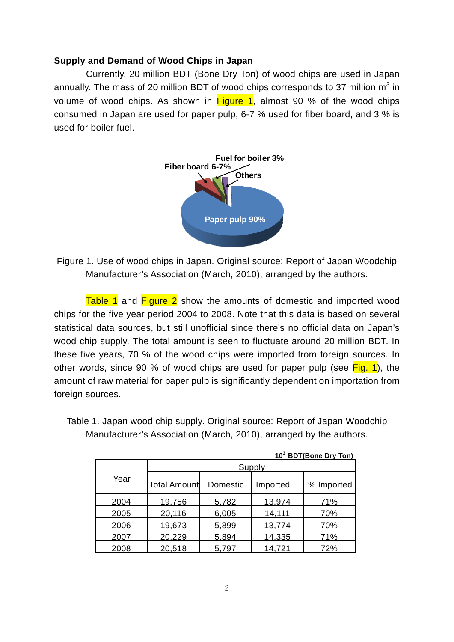#### **Supply and Demand of Wood Chips in Japan**

Currently, 20 million BDT (Bone Dry Ton) of wood chips are used in Japan annually. The mass of 20 million BDT of wood chips corresponds to 37 million  $m^3$  in volume of wood chips. As shown in  $Figure 1$ , almost 90 % of the wood chips consumed in Japan are used for paper pulp, 6-7 % used for fiber board, and 3 % is used for boiler fuel.



Figure 1. Use of wood chips in Japan. Original source: Report of Japan Woodchip Manufacturer's Association (March, 2010), arranged by the authors.

Table 1 and Figure 2 show the amounts of domestic and imported wood chips for the five year period 2004 to 2008. Note that this data is based on several statistical data sources, but still unofficial since there's no official data on Japan's wood chip supply. The total amount is seen to fluctuate around 20 million BDT. In these five years, 70 % of the wood chips were imported from foreign sources. In other words, since 90 % of wood chips are used for paper pulp (see  $Fig. 1$ ), the amount of raw material for paper pulp is significantly dependent on importation from foreign sources.

| 10 <sup>3</sup> BDT(Bone Dry Ton) |                     |          |          |            |  |  |
|-----------------------------------|---------------------|----------|----------|------------|--|--|
|                                   | Supply              |          |          |            |  |  |
| Year                              | <b>Total Amount</b> | Domestic | Imported | % Imported |  |  |
| 2004                              | 19,756              | 5,782    | 13,974   | 71%        |  |  |
| 2005                              | 20,116              | 6,005    | 14,111   | 70%        |  |  |
| 2006                              | 19,673              | 5,899    | 13,774   | 70%        |  |  |
| 2007                              | 20,229              | 5,894    | 14,335   | 71%        |  |  |
| 2008                              | 20,518              | 5,797    | 14,721   | 72%        |  |  |

Table 1. Japan wood chip supply. Original source: Report of Japan Woodchip Manufacturer's Association (March, 2010), arranged by the authors.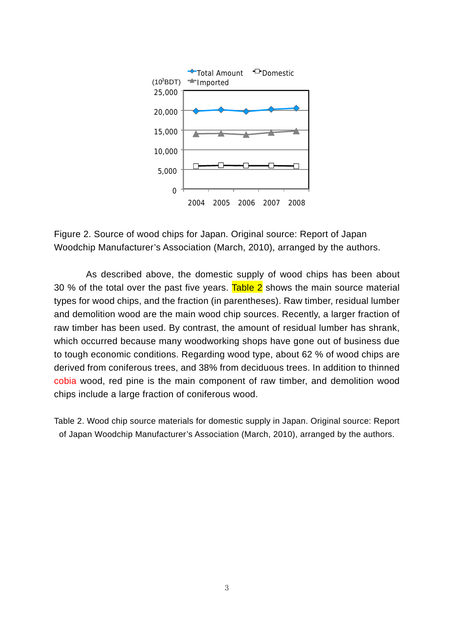

Figure 2. Source of wood chips for Japan. Original source: Report of Japan Woodchip Manufacturer's Association (March, 2010), arranged by the authors.

As described above, the domestic supply of wood chips has been about 30 % of the total over the past five years. Table 2 shows the main source material types for wood chips, and the fraction (in parentheses). Raw timber, residual lumber and demolition wood are the main wood chip sources. Recently, a larger fraction of raw timber has been used. By contrast, the amount of residual lumber has shrank, which occurred because many woodworking shops have gone out of business due to tough economic conditions. Regarding wood type, about 62 % of wood chips are derived from coniferous trees, and 38% from deciduous trees. In addition to thinned cobia wood, red pine is the main component of raw timber, and demolition wood chips include a large fraction of coniferous wood.

Table 2. Wood chip source materials for domestic supply in Japan. Original source: Report of Japan Woodchip Manufacturer's Association (March, 2010), arranged by the authors.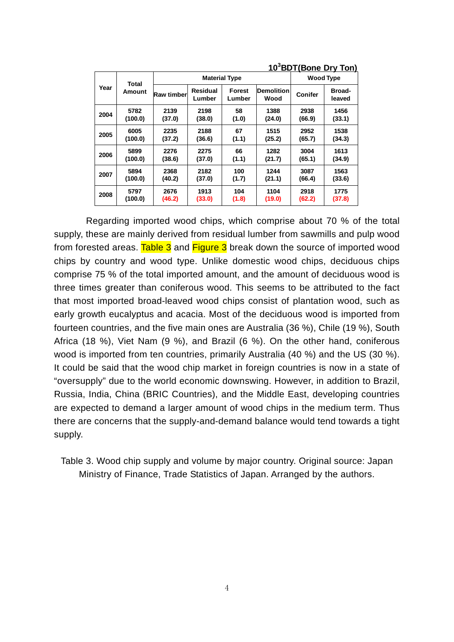| Year | Total<br>Amount | <b>Material Type</b> |                    |                         |                           | <b>Wood Type</b> |                  |
|------|-----------------|----------------------|--------------------|-------------------------|---------------------------|------------------|------------------|
|      |                 | <b>Raw timber</b>    | Residual<br>Lumber | <b>Forest</b><br>Lumber | <b>Demolition</b><br>Wood | Conifer          | Broad-<br>leaved |
| 2004 | 5782            | 2139                 | 2198               | 58                      | 1388                      | 2938             | 1456             |
|      | (100.0)         | (37.0)               | (38.0)             | (1.0)                   | (24.0)                    | (66.9)           | (33.1)           |
| 2005 | 6005            | 2235                 | 2188               | 67                      | 1515                      | 2952             | 1538             |
|      | (100.0)         | (37.2)               | (36.6)             | (1.1)                   | (25.2)                    | (65.7)           | (34.3)           |
| 2006 | 5899            | 2276                 | 2275               | 66                      | 1282                      | 3004             | 1613             |
|      | (100.0)         | (38.6)               | (37.0)             | (1.1)                   | (21.7)                    | (65.1)           | (34.9)           |
| 2007 | 5894            | 2368                 | 2182               | 100                     | 1244                      | 3087             | 1563             |
|      | (100.0)         | (40.2)               | (37.0)             | (1.7)                   | (21.1)                    | (66.4)           | (33.6)           |
| 2008 | 5797            | 2676                 | 1913               | 104                     | 1104                      | 2918             | 1775             |
|      | (100.0)         | (46.2)               | (33.0)             | (1.8)                   | (19.0)                    | (62.2)           | (37.8)           |

**10<sup>3</sup> BDT(Bone Dry Ton)**

Regarding imported wood chips, which comprise about 70 % of the total supply, these are mainly derived from residual lumber from sawmills and pulp wood from forested areas. Table 3 and Figure 3 break down the source of imported wood chips by country and wood type. Unlike domestic wood chips, deciduous chips comprise 75 % of the total imported amount, and the amount of deciduous wood is three times greater than coniferous wood. This seems to be attributed to the fact that most imported broad-leaved wood chips consist of plantation wood, such as early growth eucalyptus and acacia. Most of the deciduous wood is imported from fourteen countries, and the five main ones are Australia (36 %), Chile (19 %), South Africa (18 %), Viet Nam (9 %), and Brazil (6 %). On the other hand, coniferous wood is imported from ten countries, primarily Australia (40 %) and the US (30 %). It could be said that the wood chip market in foreign countries is now in a state of "oversupply" due to the world economic downswing. However, in addition to Brazil, Russia, India, China (BRIC Countries), and the Middle East, developing countries are expected to demand a larger amount of wood chips in the medium term. Thus there are concerns that the supply-and-demand balance would tend towards a tight supply.

Table 3. Wood chip supply and volume by major country. Original source: Japan Ministry of Finance, Trade Statistics of Japan. Arranged by the authors.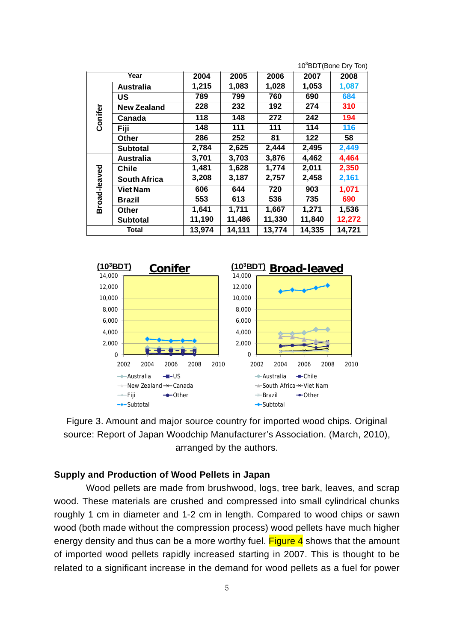|              |                     |        |        |        |        | 10 <sup>3</sup> BDT(Bone Dry Ton) |
|--------------|---------------------|--------|--------|--------|--------|-----------------------------------|
|              | Year                | 2004   | 2005   | 2006   | 2007   | 2008                              |
| Conifer      | <b>Australia</b>    | 1,215  | 1,083  | 1,028  | 1,053  | 1,087                             |
|              | US                  | 789    | 799    | 760    | 690    | 684                               |
|              | <b>New Zealand</b>  | 228    | 232    | 192    | 274    | 310                               |
|              | Canada              | 118    | 148    | 272    | 242    | 194                               |
|              | Fiji                | 148    | 111    | 111    | 114    | 116                               |
|              | Other               | 286    | 252    | 81     | 122    | 58                                |
|              | <b>Subtotal</b>     | 2,784  | 2,625  | 2,444  | 2,495  | 2,449                             |
| Broad-leaved | <b>Australia</b>    | 3,701  | 3,703  | 3,876  | 4,462  | 4,464                             |
|              | <b>Chile</b>        | 1,481  | 1,628  | 1,774  | 2,011  | 2,350                             |
|              | <b>South Africa</b> | 3,208  | 3,187  | 2,757  | 2,458  | 2,161                             |
|              | <b>Viet Nam</b>     | 606    | 644    | 720    | 903    | 1,071                             |
|              | Brazil              | 553    | 613    | 536    | 735    | 690                               |
|              | Other               | 1,641  | 1,711  | 1,667  | 1,271  | 1,536                             |
|              | <b>Subtotal</b>     | 11,190 | 11,486 | 11,330 | 11,840 | 12,272                            |
| <b>Total</b> |                     | 13,974 | 14,111 | 13,774 | 14,335 | 14,721                            |





#### **Supply and Production of Wood Pellets in Japan**

Wood pellets are made from brushwood, logs, tree bark, leaves, and scrap wood. These materials are crushed and compressed into small cylindrical chunks roughly 1 cm in diameter and 1-2 cm in length. Compared to wood chips or sawn wood (both made without the compression process) wood pellets have much higher energy density and thus can be a more worthy fuel. **Figure 4** shows that the amount of imported wood pellets rapidly increased starting in 2007. This is thought to be related to a significant increase in the demand for wood pellets as a fuel for power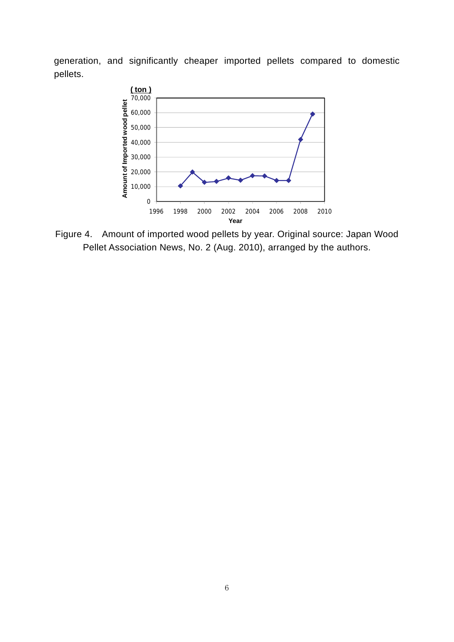generation, and significantly cheaper imported pellets compared to domestic pellets.



Figure 4. Amount of imported wood pellets by year. Original source: Japan Wood Pellet Association News, No. 2 (Aug. 2010), arranged by the authors.